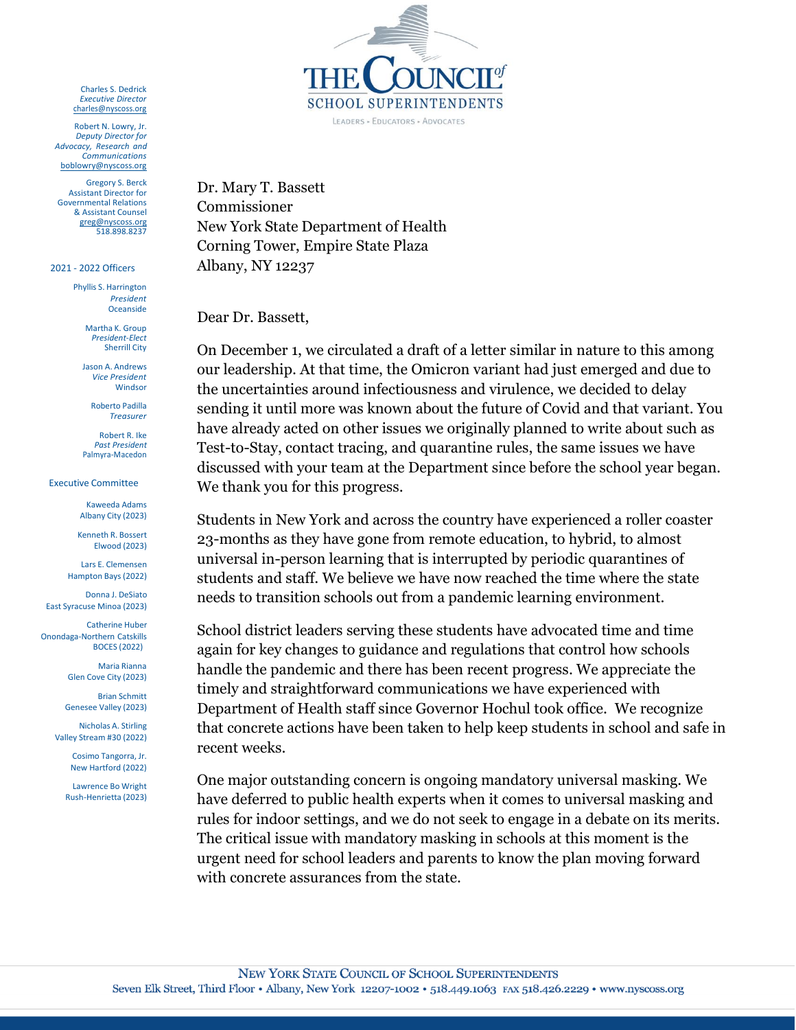Charles S. Dedrick *Executive Director* [charles@nyscoss.org](mailto:charles@nyscoss.org)

Robert N. Lowry, Jr. *Deputy Director for Advocacy, Research and Communications* [boblowry@nyscoss.org](mailto:boblowry@nyscoss.org)

Gregory S. Berck Assistant Director for Governmental Relations & Assistant Counsel [greg@nyscoss.org](mailto:greg@nyscoss.org) 518.898.8237

2021 - 2022 Officers

Phyllis S. Harrington *President* Oceanside

> Martha K. Group *President-Elect* Sherrill City

Jason A. Andrews *Vice President* Windsor

Roberto Padilla *Treasurer*

Robert R. Ike *Past President* Palmyra-Macedon

Executive Committee

Kaweeda Adams Albany City (2023)

Kenneth R. Bossert Elwood (2023)

Lars E. Clemensen Hampton Bays (2022)

Donna J. DeSiato East Syracuse Minoa (2023)

Catherine Huber Onondaga-Northern Catskills BOCES (2022)

> Maria Rianna Glen Cove City (2023)

Brian Schmitt Genesee Valley (2023)

Nicholas A. Stirling Valley Stream #30 (2022)

> Cosimo Tangorra, Jr. New Hartford (2022)

Lawrence Bo Wright Rush-Henrietta (2023)



Dr. Mary T. Bassett Commissioner New York State Department of Health Corning Tower, Empire State Plaza Albany, NY 12237

Dear Dr. Bassett,

On December 1, we circulated a draft of a letter similar in nature to this among our leadership. At that time, the Omicron variant had just emerged and due to the uncertainties around infectiousness and virulence, we decided to delay sending it until more was known about the future of Covid and that variant. You have already acted on other issues we originally planned to write about such as Test-to-Stay, contact tracing, and quarantine rules, the same issues we have discussed with your team at the Department since before the school year began. We thank you for this progress.

Students in New York and across the country have experienced a roller coaster 23-months as they have gone from remote education, to hybrid, to almost universal in-person learning that is interrupted by periodic quarantines of students and staff. We believe we have now reached the time where the state needs to transition schools out from a pandemic learning environment.

School district leaders serving these students have advocated time and time again for key changes to guidance and regulations that control how schools handle the pandemic and there has been recent progress. We appreciate the timely and straightforward communications we have experienced with Department of Health staff since Governor Hochul took office. We recognize that concrete actions have been taken to help keep students in school and safe in recent weeks.

One major outstanding concern is ongoing mandatory universal masking. We have deferred to public health experts when it comes to universal masking and rules for indoor settings, and we do not seek to engage in a debate on its merits. The critical issue with mandatory masking in schools at this moment is the urgent need for school leaders and parents to know the plan moving forward with concrete assurances from the state.